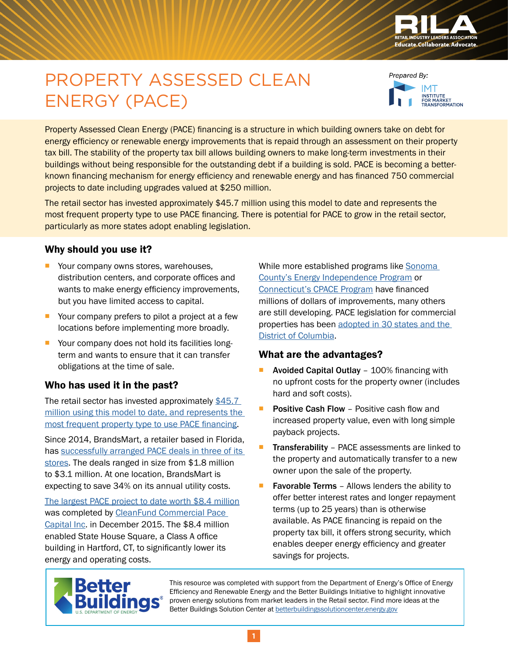

# PROPERTY ASSESSED CLEAN ENERGY (PACE)



Property Assessed Clean Energy (PACE) financing is a structure in which building owners take on debt for energy efficiency or renewable energy improvements that is repaid through an assessment on their property tax bill. The stability of the property tax bill allows building owners to make long-term investments in their buildings without being responsible for the outstanding debt if a building is sold. PACE is becoming a betterknown financing mechanism for energy efficiency and renewable energy and has financed 750 commercial projects to date including upgrades valued at \$250 million.

The retail sector has invested approximately \$45.7 million using this model to date and represents the most frequent property type to use PACE financing. There is potential for PACE to grow in the retail sector, particularly as more states adopt enabling legislation.

#### Why should you use it?

- Your company owns stores, warehouses, distribution centers, and corporate offices and wants to make energy efficiency improvements, but you have limited access to capital.
- Your company prefers to pilot a project at a few locations before implementing more broadly.
- Your company does not hold its facilities longterm and wants to ensure that it can transfer obligations at the time of sale.

#### Who has used it in the past?

The retail sector has invested approximately [\\$45.7](http://www.pacenation.us/pace-data/)  [million using this model to date, and represents the](http://www.pacenation.us/pace-data/)  most frequent property type to use PACE financing.

Since 2014, BrandsMart, a retailer based in Florida, has [successfully arranged PACE deals in three of its](http://www.sun-sentinel.com/business/consumer/fl-pace-update-20151008-story.html)  [stores](http://www.sun-sentinel.com/business/consumer/fl-pace-update-20151008-story.html). The deals ranged in size from \$1.8 million to \$3.1 million. At one location, BrandsMart is expecting to save 34% on its annual utility costs.

[The largest PACE project to date worth \\$8.4 million](http://www.cleanfund.com/about-cleanfund/cleanfund-news/news-cleanfund-closes-largest-pace-financed-commercial-project-to-date/) was completed by [CleanFund Commercial Pace](http://www.cleanfund.com/)  [Capital Inc.](http://www.cleanfund.com/) in December 2015. The \$8.4 million enabled State House Square, a Class A office building in Hartford, CT, to significantly lower its energy and operating costs.

While more established programs like Sonoma [County's Energy Independence Program](http://sonomacountyenergy.org/) or [Connecticut's CPACE Program](http://www.cpace.com/) have financed millions of dollars of improvements, many others are still developing. PACE legislation for commercial properties has been [adopted in 30 states and the](http://www.pacenation.us/commercialpace/)  [District of Columbia](http://www.pacenation.us/commercialpace/).

#### What are the advantages?

- **Avoided Capital Outlay** 100% financing with no upfront costs for the property owner (includes hard and soft costs).
- **Positive Cash Flow Positive cash flow and** increased property value, even with long simple payback projects.
- **Transferability** PACE assessments are linked to the property and automatically transfer to a new owner upon the sale of the property.
- **Favorable Terms** Allows lenders the ability to offer better interest rates and longer repayment terms (up to 25 years) than is otherwise available. As PACE financing is repaid on the property tax bill, it offers strong security, which enables deeper energy efficiency and greater savings for projects.



This resource was completed with support from the Department of Energy's Office of Energy Efficiency and Renewable Energy and the Better Buildings Initiative to highlight innovative proven energy solutions from market leaders in the Retail sector. Find more ideas at the Better Buildings Solution Center at [betterbuildingssolutioncenter.energy.gov](http://betterbuildingssolutioncenter.energy.gov)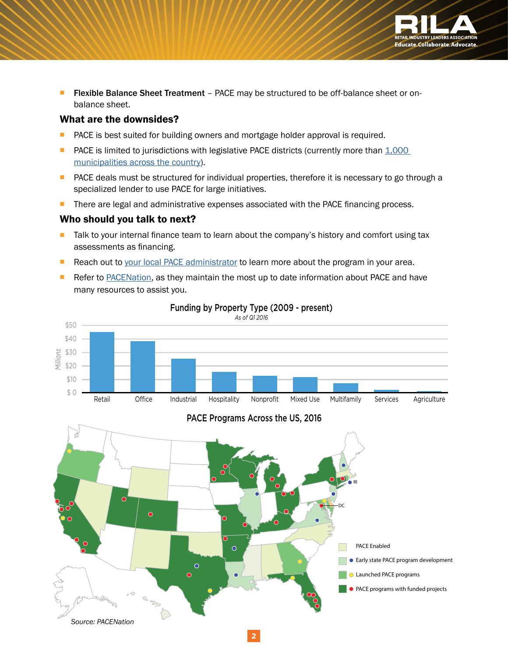

**Filexible Balance Sheet Treatment** – PACE may be structured to be off-balance sheet or onbalance sheet.

#### What are the downsides?

- PACE is best suited for building owners and mortgage holder approval is required.
- **PACE** is limited to jurisdictions with legislative PACE districts (currently more than  $1,000$ [municipalities across the country](http://www.pacenation.us/pace-programs/#table)).
- **PACE** deals must be structured for individual properties, therefore it is necessary to go through a specialized lender to use PACE for large initiatives.
- **There are legal and administrative expenses associated with the PACE financing process.**

#### Who should you talk to next?

- **Talk to your internal finance team to learn about the company's history and comfort using tax** assessments as financing.
- Reach out to [your local PACE administrator](http://www.pacenation.us/pace-programs/#table) to learn more about the program in your area.
- Refer to [PACENation](http://www.pacenation.us/), as they maintain the most up to date information about PACE and have many resources to assist you.



### Funding by Property Type (2009 - present)